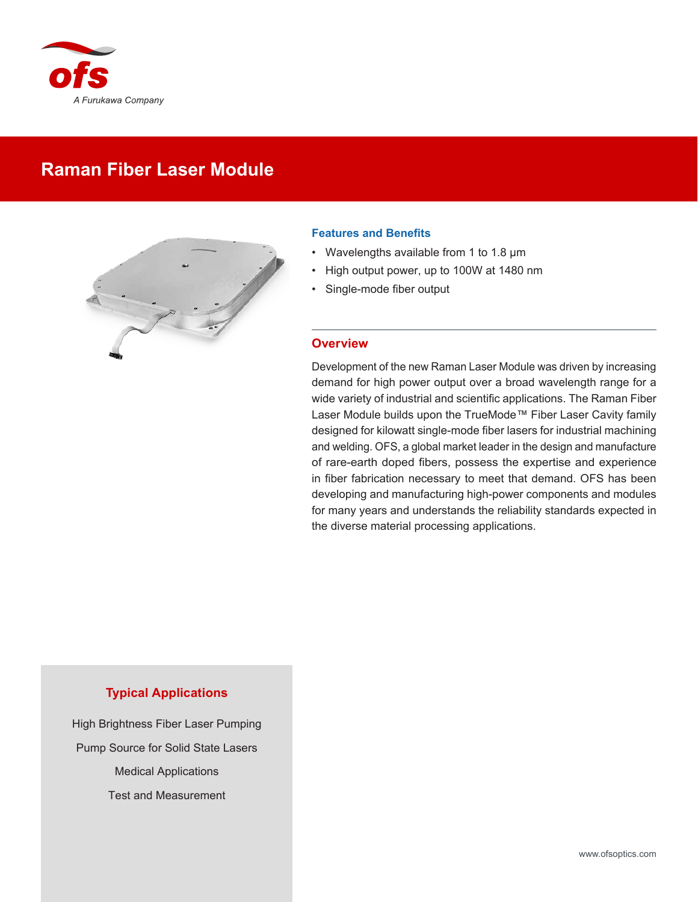

# **Raman Fiber Laser Module**



## **Features and Benefits**

- Wavelengths available from 1 to 1.8 µm
- High output power, up to 100W at 1480 nm
- Single-mode fiber output

## **Overview**

Development of the new Raman Laser Module was driven by increasing demand for high power output over a broad wavelength range for a wide variety of industrial and scientific applications. The Raman Fiber Laser Module builds upon the TrueMode™ Fiber Laser Cavity family designed for kilowatt single-mode fiber lasers for industrial machining and welding. OFS, a global market leader in the design and manufacture of rare-earth doped fibers, possess the expertise and experience in fiber fabrication necessary to meet that demand. OFS has been developing and manufacturing high-power components and modules for many years and understands the reliability standards expected in the diverse material processing applications.

## **Typical Applications**

High Brightness Fiber Laser Pumping Pump Source for Solid State Lasers Medical Applications Test and Measurement